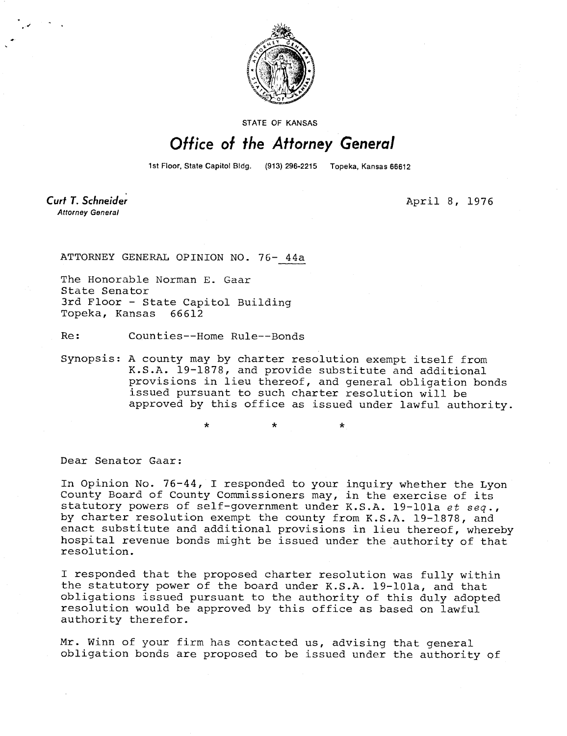

STATE OF KANSAS

## Office of the Attorney General

1st Floor, State Capitol Bldg. (913) 296-2215 Topeka, Kansas 66612

Curt T. Schneider **Attorney General** 

April 8, 1976

ATTORNEY GENERAL OPINION NO. 76- 44a

The Honorable Norman E. Gaar State Senator 3rd Floor - State Capitol Building Topeka, Kansas 66612

Re: Counties--Home Rule--Bonds

Synopsis: A county may by charter resolution exempt itself from K.S.A. 19-1878, and provide substitute and additional provisions in lieu thereof, and general obligation bonds issued pursuant to such charter resolution will be approved by this office as issued under lawful authority.

Dear Senator Gaar:

In Opinion No. 76-44, I responded to your inquiry whether the Lyon County Board of County Commissioners may, in the exercise of its statutory powers of self-government under K.S.A. 19-101a et seq., by charter resolution exempt the county from K.S.A. 19-1878, and enact substitute and additional provisions in lieu thereof, whereby hospital revenue bonds might be issued under the authority of that resolution.

I responded that the proposed charter resolution was fully within the statutory power of the board under K.S.A. 19-101a, and that obligations issued pursuant to the authority of this duly adopted resolution would be approved by this office as based on lawful authority therefor.

Mr. Winn of your firm has contacted us, advising that general obligation bonds are proposed to be issued under the authority of